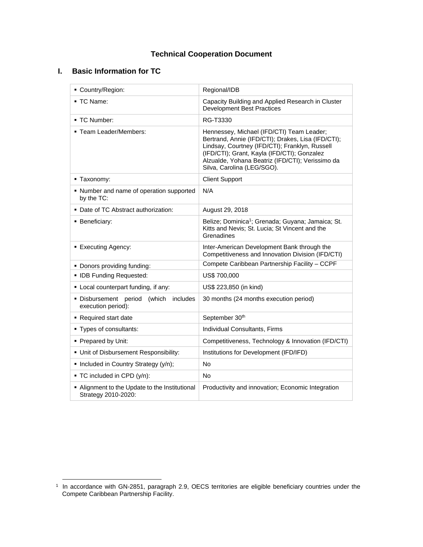# **Technical Cooperation Document**

# **I. Basic Information for TC**

| Country/Region:                                                | Regional/IDB                                                                                                                                                                                                                                                                       |
|----------------------------------------------------------------|------------------------------------------------------------------------------------------------------------------------------------------------------------------------------------------------------------------------------------------------------------------------------------|
| $\blacksquare$ TC Name:                                        | Capacity Building and Applied Research in Cluster<br><b>Development Best Practices</b>                                                                                                                                                                                             |
| - TC Number:                                                   | RG-T3330                                                                                                                                                                                                                                                                           |
| " Team Leader/Members:                                         | Hennessey, Michael (IFD/CTI) Team Leader;<br>Bertrand, Annie (IFD/CTI); Drakes, Lisa (IFD/CTI);<br>Lindsay, Courtney (IFD/CTI); Franklyn, Russell<br>(IFD/CTI); Grant, Kayla (IFD/CTI); Gonzalez<br>Alzualde, Yohana Beatriz (IFD/CTI); Verissimo da<br>Silva, Carolina (LEG/SGO). |
| ■ Taxonomy:                                                    | <b>Client Support</b>                                                                                                                                                                                                                                                              |
| • Number and name of operation supported<br>by the TC:         | N/A                                                                                                                                                                                                                                                                                |
| • Date of TC Abstract authorization:                           | August 29, 2018                                                                                                                                                                                                                                                                    |
| <b>Beneficiary:</b>                                            | Belize; Dominica <sup>1</sup> ; Grenada; Guyana; Jamaica; St.<br>Kitts and Nevis; St. Lucia; St Vincent and the<br>Grenadines                                                                                                                                                      |
| ■ Executing Agency:                                            | Inter-American Development Bank through the<br>Competitiveness and Innovation Division (IFD/CTI)                                                                                                                                                                                   |
|                                                                |                                                                                                                                                                                                                                                                                    |
| • Donors providing funding:                                    | Compete Caribbean Partnership Facility - CCPF                                                                                                                                                                                                                                      |
| • IDB Funding Requested:                                       | US\$ 700,000                                                                                                                                                                                                                                                                       |
| • Local counterpart funding, if any:                           | US\$ 223,850 (in kind)                                                                                                                                                                                                                                                             |
| · Disbursement period<br>(which includes<br>execution period): | 30 months (24 months execution period)                                                                                                                                                                                                                                             |
| • Required start date                                          | September 30th                                                                                                                                                                                                                                                                     |
| • Types of consultants:                                        | Individual Consultants, Firms                                                                                                                                                                                                                                                      |
| • Prepared by Unit:                                            | Competitiveness, Technology & Innovation (IFD/CTI)                                                                                                                                                                                                                                 |
| • Unit of Disbursement Responsibility:                         | Institutions for Development (IFD/IFD)                                                                                                                                                                                                                                             |
| • Included in Country Strategy (y/n);                          | No                                                                                                                                                                                                                                                                                 |
| ■ TC included in CPD (y/n):                                    | No                                                                                                                                                                                                                                                                                 |

 1 In accordance with GN-2851, paragraph 2.9, OECS territories are eligible beneficiary countries under the Compete Caribbean Partnership Facility.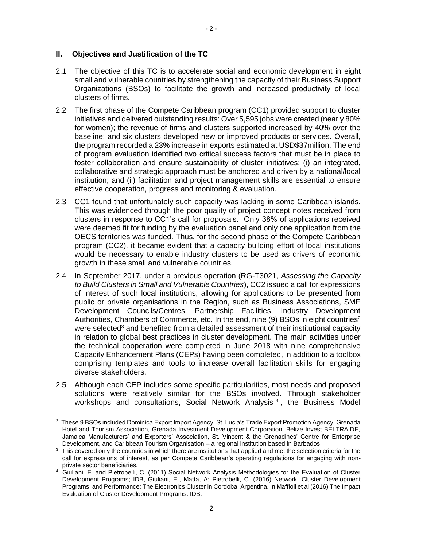#### **II. Objectives and Justification of the TC**

- 2.1 The objective of this TC is to accelerate social and economic development in eight small and vulnerable countries by strengthening the capacity of their Business Support Organizations (BSOs) to facilitate the growth and increased productivity of local clusters of firms.
- 2.2 The first phase of the Compete Caribbean program (CC1) provided support to cluster initiatives and delivered outstanding results: Over 5,595 jobs were created (nearly 80% for women); the revenue of firms and clusters supported increased by 40% over the baseline; and six clusters developed new or improved products or services. Overall, the program recorded a 23% increase in exports estimated at USD\$37million. The end of program evaluation identified two critical success factors that must be in place to foster collaboration and ensure sustainability of cluster initiatives: (i) an integrated, collaborative and strategic approach must be anchored and driven by a national/local institution; and (ii) facilitation and project management skills are essential to ensure effective cooperation, progress and monitoring & evaluation.
- 2.3 CC1 found that unfortunately such capacity was lacking in some Caribbean islands. This was evidenced through the poor quality of project concept notes received from clusters in response to CC1's call for proposals. Only 38% of applications received were deemed fit for funding by the evaluation panel and only one application from the OECS territories was funded. Thus, for the second phase of the Compete Caribbean program (CC2), it became evident that a capacity building effort of local institutions would be necessary to enable industry clusters to be used as drivers of economic growth in these small and vulnerable countries.
- 2.4 In September 2017, under a previous operation (RG-T3021, *Assessing the Capacity to Build Clusters in Small and Vulnerable Countries*), CC2 issued a call for expressions of interest of such local institutions, allowing for applications to be presented from public or private organisations in the Region, such as Business Associations, SME Development Councils/Centres, Partnership Facilities, Industry Development Authorities, Chambers of Commerce, etc. In the end, nine (9) BSOs in eight countries<sup>2</sup> were selected<sup>3</sup> and benefited from a detailed assessment of their institutional capacity in relation to global best practices in cluster development. The main activities under the technical cooperation were completed in June 2018 with nine comprehensive Capacity Enhancement Plans (CEPs) having been completed, in addition to a toolbox comprising templates and tools to increase overall facilitation skills for engaging diverse stakeholders.
- 2.5 Although each CEP includes some specific particularities, most needs and proposed solutions were relatively similar for the BSOs involved. Through stakeholder workshops and consultations, Social Network Analysis<sup>4</sup>, the Business Model

 $\overline{\phantom{a}}$ <sup>2</sup> These 9 BSOs included Dominica Export Import Agency, St. Lucia's Trade Export Promotion Agency, Grenada Hotel and Tourism Association, Grenada Investment Development Corporation, Belize Invest BELTRAIDE, Jamaica Manufacturers' and Exporters' Association, St. Vincent & the Grenadines' Centre for Enterprise Development, and Caribbean Tourism Organisation – a regional institution based in Barbados.

<sup>&</sup>lt;sup>3</sup> This covered only the countries in which there are institutions that applied and met the selection criteria for the call for expressions of interest, as per Compete Caribbean's operating regulations for engaging with nonprivate sector beneficiaries.

<sup>4</sup> Giuliani, E. and Pietrobelli, C. (2011) Social Network Analysis Methodologies for the Evaluation of Cluster Development Programs; IDB, Giuliani, E., Matta, A; Pietrobelli, C. (2016) Network, Cluster Development Programs, and Performance: The Electronics Cluster in Cordoba, Argentina. In Maffioli et al (2016) The Impact Evaluation of Cluster Development Programs. IDB.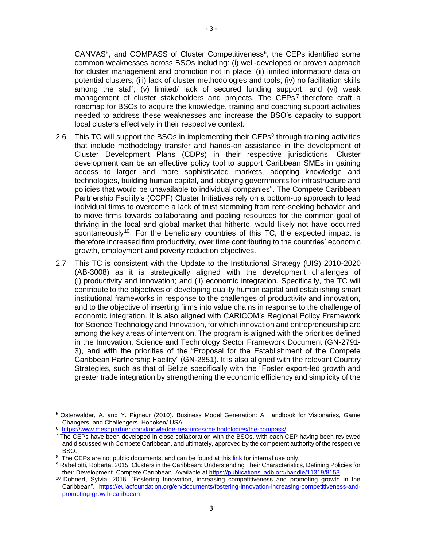CANVAS<sup>5</sup>, and COMPASS of Cluster Competitiveness<sup>6</sup>, the CEPs identified some common weaknesses across BSOs including: (i) well-developed or proven approach for cluster management and promotion not in place; (ii) limited information/ data on potential clusters; (iii) lack of cluster methodologies and tools; (iv) no facilitation skills among the staff; (v) limited/ lack of secured funding support; and (vi) weak management of cluster stakeholders and projects. The CEPs<sup>7</sup> therefore craft a roadmap for BSOs to acquire the knowledge, training and coaching support activities needed to address these weaknesses and increase the BSO's capacity to support local clusters effectively in their respective context.

- 2.6 This TC will support the BSOs in implementing their CEPs<sup>8</sup> through training activities that include methodology transfer and hands-on assistance in the development of Cluster Development Plans (CDPs) in their respective jurisdictions. Cluster development can be an effective policy tool to support Caribbean SMEs in gaining access to larger and more sophisticated markets, adopting knowledge and technologies, building human capital, and lobbying governments for infrastructure and policies that would be unavailable to individual companies<sup>9</sup>. The Compete Caribbean Partnership Facility's (CCPF) Cluster Initiatives rely on a bottom-up approach to lead individual firms to overcome a lack of trust stemming from rent-seeking behavior and to move firms towards collaborating and pooling resources for the common goal of thriving in the local and global market that hitherto, would likely not have occurred spontaneously<sup>10</sup>. For the beneficiary countries of this TC, the expected impact is therefore increased firm productivity, over time contributing to the countries' economic growth, employment and poverty reduction objectives.
- 2.7 This TC is consistent with the Update to the Institutional Strategy (UIS) 2010-2020 (AB-3008) as it is strategically aligned with the development challenges of (i) productivity and innovation; and (ii) economic integration. Specifically, the TC will contribute to the objectives of developing quality human capital and establishing smart institutional frameworks in response to the challenges of productivity and innovation, and to the objective of inserting firms into value chains in response to the challenge of economic integration. It is also aligned with CARICOM's Regional Policy Framework for Science Technology and Innovation, for which innovation and entrepreneurship are among the key areas of intervention. The program is aligned with the priorities defined in the Innovation, Science and Technology Sector Framework Document (GN-2791- 3), and with the priorities of the "Proposal for the Establishment of the Compete Caribbean Partnership Facility" (GN-2851). It is also aligned with the relevant Country Strategies, such as that of Belize specifically with the "Foster export-led growth and greater trade integration by strengthening the economic efficiency and simplicity of the

l <sup>5</sup> Osterwalder, A. and Y. Pigneur (2010). Business Model Generation: A Handbook for Visionaries, Game Changers, and Challengers. Hoboken/ USA.

<sup>6</sup> <https://www.mesopartner.com/knowledge-resources/methodologies/the-compass/>

 $<sup>7</sup>$  The CEPs have been developed in close collaboration with the BSOs, with each CEP having been reviewed</sup> and discussed with Compete Caribbean, and ultimately, approved by the competent authority of the respective BSO.

<sup>&</sup>lt;sup>8</sup> The CEPs are not public documents, and can be found at this [link](https://idbg.sharepoint.com/teams/EZ-RG-TCP/RG-T3021/60%20Project%20Procurement%20of%20Goods%20and%20Services/CEPs%20on%20PDF%20Format%20ZIP%20FILE.msg) for internal use only.

<sup>9</sup> Rabellotti, Roberta. 2015. Clusters in the Caribbean: Understanding Their Characteristics, Defining Policies for their Development. Compete Caribbean. Available a[t https://publications.iadb.org/handle/11319/8153](https://publications.iadb.org/handle/11319/8153)

<sup>&</sup>lt;sup>10</sup> Dohnert, Sylvia. 2018. "Fostering Innovation, increasing competitiveness and promoting growth in the Caribbean". [https://eulacfoundation.org/en/documents/fostering-innovation-increasing-competitiveness-and](https://eulacfoundation.org/en/documents/fostering-innovation-increasing-competitiveness-and-promoting-growth-caribbean)[promoting-growth-caribbean](https://eulacfoundation.org/en/documents/fostering-innovation-increasing-competitiveness-and-promoting-growth-caribbean)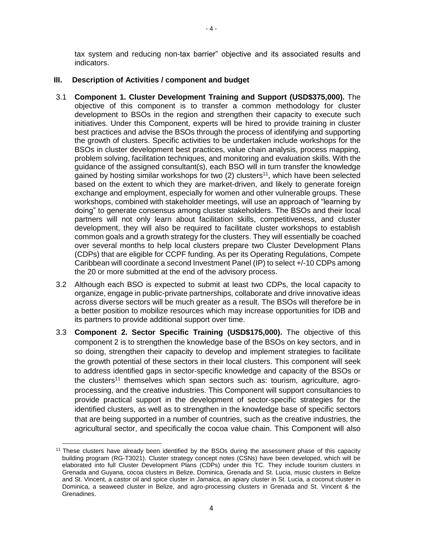tax system and reducing non-tax barrier" objective and its associated results and indicators.

# **III. Description of Activities / component and budget**

- <span id="page-3-0"></span>3.1 **Component 1. Cluster Development Training and Support (USD\$375,000).** The objective of this component is to transfer a common methodology for cluster development to BSOs in the region and strengthen their capacity to execute such initiatives. Under this Component, experts will be hired to provide training in cluster best practices and advise the BSOs through the process of identifying and supporting the growth of clusters. Specific activities to be undertaken include workshops for the BSOs in cluster development best practices, value chain analysis, process mapping, problem solving, facilitation techniques, and monitoring and evaluation skills. With the guidance of the assigned consultant(s), each BSO will in turn transfer the knowledge gained by hosting similar workshops for two  $(2)$  clusters<sup>11</sup>, which have been selected based on the extent to which they are market-driven, and likely to generate foreign exchange and employment, especially for women and other vulnerable groups. These workshops, combined with stakeholder meetings, will use an approach of "learning by doing" to generate consensus among cluster stakeholders. The BSOs and their local partners will not only learn about facilitation skills, competitiveness, and cluster development, they will also be required to facilitate cluster workshops to establish common goals and a growth strategy for the clusters. They will essentially be coached over several months to help local clusters prepare two Cluster Development Plans (CDPs) that are eligible for CCPF funding. As per its Operating Regulations, Compete Caribbean will coordinate a second Investment Panel (IP) to select +/-10 CDPs among the 20 or more submitted at the end of the advisory process.
- 3.2 Although each BSO is expected to submit at least two CDPs, the local capacity to organize, engage in public-private partnerships, collaborate and drive innovative ideas across diverse sectors will be much greater as a result. The BSOs will therefore be in a better position to mobilize resources which may increase opportunities for IDB and its partners to provide additional support over time.
- 3.3 **Component 2. Sector Specific Training (USD\$175,000).** The objective of this component 2 is to strengthen the knowledge base of the BSOs on key sectors, and in so doing, strengthen their capacity to develop and implement strategies to facilitate the growth potential of these sectors in their local clusters. This component will seek to address identified gaps in sector-specific knowledge and capacity of the BSOs or the clusters<sup>[11](#page-3-0)</sup> themselves which span sectors such as: tourism, agriculture, agroprocessing, and the creative industries. This Component will support consultancies to provide practical support in the development of sector-specific strategies for the identified clusters, as well as to strengthen in the knowledge base of specific sectors that are being supported in a number of countries, such as the creative industries, the agricultural sector, and specifically the cocoa value chain. This Component will also

l

<sup>&</sup>lt;sup>11</sup> These clusters have already been identified by the BSOs during the assessment phase of this capacity building program (RG-T3021). Cluster strategy concept notes (CSNs) have been developed, which will be elaborated into full Cluster Development Plans (CDPs) under this TC. They include tourism clusters in Grenada and Guyana, cocoa clusters in Belize, Dominica, Grenada and St. Lucia, music clusters in Belize and St. Vincent, a castor oil and spice cluster in Jamaica, an apiary cluster in St. Lucia, a coconut cluster in Dominica, a seaweed cluster in Belize, and agro-processing clusters in Grenada and St. Vincent & the Grenadines.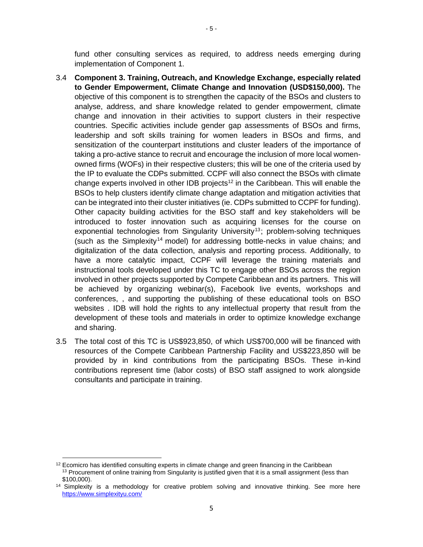fund other consulting services as required, to address needs emerging during implementation of Component 1.

- 3.4 **Component 3. Training, Outreach, and Knowledge Exchange, especially related to Gender Empowerment, Climate Change and Innovation (USD\$150,000).** The objective of this component is to strengthen the capacity of the BSOs and clusters to analyse, address, and share knowledge related to gender empowerment, climate change and innovation in their activities to support clusters in their respective countries. Specific activities include gender gap assessments of BSOs and firms, leadership and soft skills training for women leaders in BSOs and firms, and sensitization of the counterpart institutions and cluster leaders of the importance of taking a pro-active stance to recruit and encourage the inclusion of more local womenowned firms (WOFs) in their respective clusters; this will be one of the criteria used by the IP to evaluate the CDPs submitted. CCPF will also connect the BSOs with climate change experts involved in other IDB projects<sup>12</sup> in the Caribbean. This will enable the BSOs to help clusters identify climate change adaptation and mitigation activities that can be integrated into their cluster initiatives (ie. CDPs submitted to CCPF for funding). Other capacity building activities for the BSO staff and key stakeholders will be introduced to foster innovation such as acquiring licenses for the course on exponential technologies from Singularity University<sup>13</sup>; problem-solving techniques (such as the Simplexity<sup>14</sup> model) for addressing bottle-necks in value chains; and digitalization of the data collection, analysis and reporting process. Additionally, to have a more catalytic impact, CCPF will leverage the training materials and instructional tools developed under this TC to engage other BSOs across the region involved in other projects supported by Compete Caribbean and its partners. This will be achieved by organizing webinar(s), Facebook live events, workshops and conferences, , and supporting the publishing of these educational tools on BSO websites . IDB will hold the rights to any intellectual property that result from the development of these tools and materials in order to optimize knowledge exchange and sharing.
- 3.5 The total cost of this TC is US\$923,850, of which US\$700,000 will be financed with resources of the Compete Caribbean Partnership Facility and US\$223,850 will be provided by in kind contributions from the participating BSOs. These in-kind contributions represent time (labor costs) of BSO staff assigned to work alongside consultants and participate in training.

 $\overline{\phantom{a}}$  $12$  Ecomicro has identified consulting experts in climate change and green financing in the Caribbean <sup>13</sup> Procurement of online training from Singularity is justified given that it is a small assignment (less than \$100,000).

 $14$  Simplexity is a methodology for creative problem solving and innovative thinking. See more here <https://www.simplexityu.com/>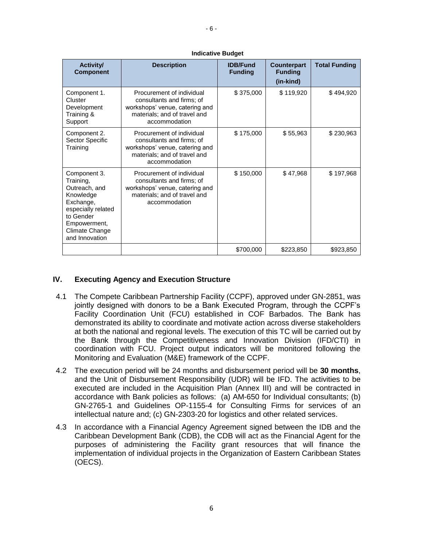| <b>Activity/</b><br><b>Component</b>                                                                                                                        | <b>Description</b>                                                                                                                        | <b>IDB/Fund</b><br><b>Funding</b> | <b>Counterpart</b><br><b>Funding</b><br>(in-kind) | <b>Total Funding</b> |
|-------------------------------------------------------------------------------------------------------------------------------------------------------------|-------------------------------------------------------------------------------------------------------------------------------------------|-----------------------------------|---------------------------------------------------|----------------------|
| Component 1.<br>Cluster<br>Development<br>Training &<br>Support                                                                                             | Procurement of individual<br>consultants and firms; of<br>workshops' venue, catering and<br>materials; and of travel and<br>accommodation | \$375,000                         | \$119,920                                         | \$494,920            |
| Component 2.<br>Sector Specific<br>Training                                                                                                                 | Procurement of individual<br>consultants and firms; of<br>workshops' venue, catering and<br>materials; and of travel and<br>accommodation | \$175,000                         | \$55,963                                          | \$230,963            |
| Component 3.<br>Training,<br>Outreach, and<br>Knowledge<br>Exchange,<br>especially related<br>to Gender<br>Empowerment,<br>Climate Change<br>and Innovation | Procurement of individual<br>consultants and firms; of<br>workshops' venue, catering and<br>materials; and of travel and<br>accommodation | \$150,000                         | \$47,968                                          | \$197,968            |
|                                                                                                                                                             |                                                                                                                                           | \$700,000                         | \$223,850                                         | \$923,850            |

#### **Indicative Budget**

#### **IV. Executing Agency and Execution Structure**

- 4.1 The Compete Caribbean Partnership Facility (CCPF), approved under GN-2851, was jointly designed with donors to be a Bank Executed Program, through the CCPF's Facility Coordination Unit (FCU) established in COF Barbados. The Bank has demonstrated its ability to coordinate and motivate action across diverse stakeholders at both the national and regional levels. The execution of this TC will be carried out by the Bank through the Competitiveness and Innovation Division (IFD/CTI) in coordination with FCU. Project output indicators will be monitored following the Monitoring and Evaluation (M&E) framework of the CCPF.
- 4.2 The execution period will be 24 months and disbursement period will be **30 months**, and the Unit of Disbursement Responsibility (UDR) will be IFD. The activities to be executed are included in the Acquisition Plan (Annex III) and will be contracted in accordance with Bank policies as follows: (a) AM-650 for Individual consultants; (b) GN-2765-1 and Guidelines OP-1155-4 for Consulting Firms for services of an intellectual nature and; (c) GN-2303-20 for logistics and other related services.
- 4.3 In accordance with a Financial Agency Agreement signed between the IDB and the Caribbean Development Bank (CDB), the CDB will act as the Financial Agent for the purposes of administering the Facility grant resources that will finance the implementation of individual projects in the Organization of Eastern Caribbean States (OECS).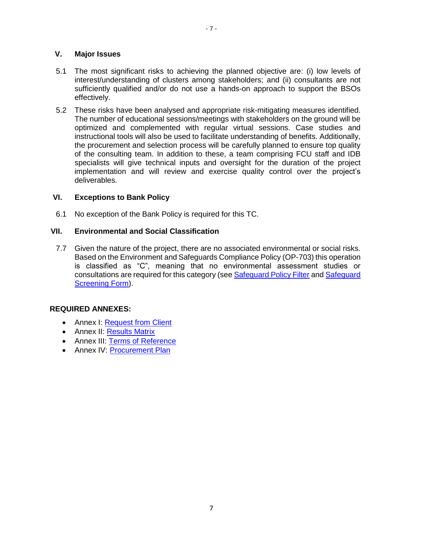## **V. Major Issues**

- 5.1 The most significant risks to achieving the planned objective are: (i) low levels of interest/understanding of clusters among stakeholders; and (ii) consultants are not sufficiently qualified and/or do not use a hands-on approach to support the BSOs effectively.
- 5.2 These risks have been analysed and appropriate risk-mitigating measures identified. The number of educational sessions/meetings with stakeholders on the ground will be optimized and complemented with regular virtual sessions. Case studies and instructional tools will also be used to facilitate understanding of benefits. Additionally, the procurement and selection process will be carefully planned to ensure top quality of the consulting team. In addition to these, a team comprising FCU staff and IDB specialists will give technical inputs and oversight for the duration of the project implementation and will review and exercise quality control over the project's deliverables.

## **VI. Exceptions to Bank Policy**

6.1 No exception of the Bank Policy is required for this TC.

#### **VII. Environmental and Social Classification**

7.7 Given the nature of the project, there are no associated environmental or social risks. Based on the Environment and Safeguards Compliance Policy (OP-703) this operation is classified as "C", meaning that no environmental assessment studies or consultations are required for this category (see [Safeguard Policy Filter](https://idbg.sharepoint.com/teams/EZ-RG-TCP/RG-T3330/50%20Environmental%20and%20Social/RG-T3330_SPF_20180828_1612.pdf) and Safeguard [Screening Form\)](https://idbg.sharepoint.com/teams/EZ-RG-TCP/RG-T3330/50%20Environmental%20and%20Social/RG-T3330_SSF_20180828_1612.pdf).

## **REQUIRED ANNEXES:**

- Annex I: [Request from Client](https://idbg.sharepoint.com/teams/EZ-RG-TCP/RG-T3330/15%20LifeCycle%20Milestones/Annex%20I%20-%20Request%20from%20Client%20RG-T3330%20-%20Post%20QRR.pdf)
- Annex II: [Results Matrix](https://idbg.sharepoint.com/teams/EZ-RG-TCP/RG-T3330/15%20LifeCycle%20Milestones/Annex%20II%20-%20Results%20Matrix%20RG-T3330%20Post%20QRR.xlsx?d=w3704f27408594f0eb9d4fa5687706ce9)
- Annex III: [Terms of Reference](https://idbg.sharepoint.com/teams/EZ-RG-TCP/RG-T3330/15%20LifeCycle%20Milestones/Annex%20III%20-%20Terms%20of%20Reference%20-%20RG-T3330%20-%20Post%20QRR.docx?d=w7f3a6ff4fab842408a895d3989b89539)
- Annex IV: [Procurement Plan](https://idbg.sharepoint.com/teams/EZ-RG-TCP/RG-T3330/15%20LifeCycle%20Milestones/Annex%20IV%20-%20Procurement%20Plan%20RG-T3330%20-%20Post%20QRR.xlsx?d=wd7814d4bc0be471999e6a9adffa2cb8a)